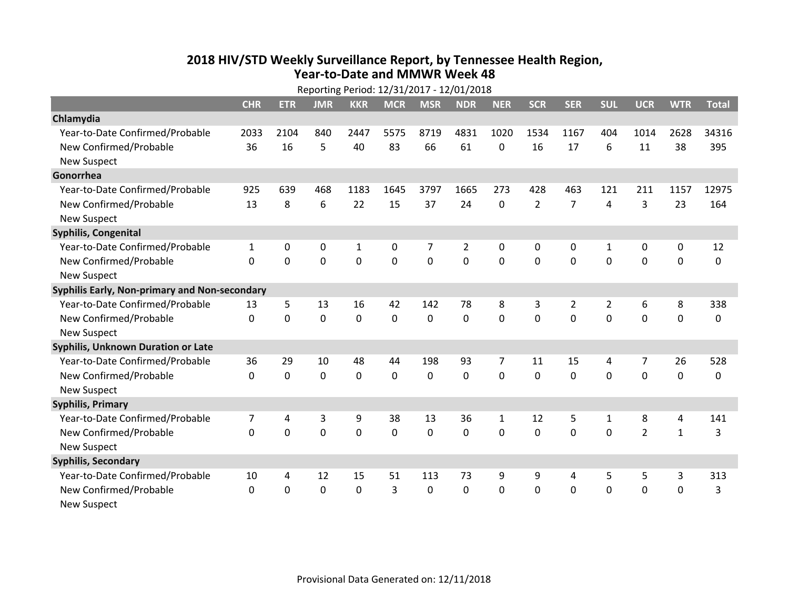## **2018 HIV /STD Weekl y Surveillance Report, b y Tennessee Health Region, Year‐to‐Date and MMWR Week 48**

|                                               | Reporting Period: 12/31/2017 - 12/01/2018 |             |             |             |                |                |                |                |                |                |                |                |              |              |
|-----------------------------------------------|-------------------------------------------|-------------|-------------|-------------|----------------|----------------|----------------|----------------|----------------|----------------|----------------|----------------|--------------|--------------|
|                                               | <b>CHR</b>                                | <b>ETR</b>  | <b>JMR</b>  | <b>KKR</b>  | <b>MCR</b>     | <b>MSR</b>     | <b>NDR</b>     | <b>NER</b>     | <b>SCR</b>     | <b>SER</b>     | <b>SUL</b>     | <b>UCR</b>     | <b>WTR</b>   | <b>Total</b> |
| Chlamydia                                     |                                           |             |             |             |                |                |                |                |                |                |                |                |              |              |
| Year-to-Date Confirmed/Probable               | 2033                                      | 2104        | 840         | 2447        | 5575           | 8719           | 4831           | 1020           | 1534           | 1167           | 404            | 1014           | 2628         | 34316        |
| New Confirmed/Probable                        | 36                                        | 16          | 5           | 40          | 83             | 66             | 61             | 0              | 16             | 17             | 6              | 11             | 38           | 395          |
| <b>New Suspect</b>                            |                                           |             |             |             |                |                |                |                |                |                |                |                |              |              |
| Gonorrhea                                     |                                           |             |             |             |                |                |                |                |                |                |                |                |              |              |
| Year-to-Date Confirmed/Probable               | 925                                       | 639         | 468         | 1183        | 1645           | 3797           | 1665           | 273            | 428            | 463            | 121            | 211            | 1157         | 12975        |
| New Confirmed/Probable                        | 13                                        | 8           | 6           | 22          | 15             | 37             | 24             | 0              | $\overline{2}$ | $\overline{7}$ | 4              | 3              | 23           | 164          |
| <b>New Suspect</b>                            |                                           |             |             |             |                |                |                |                |                |                |                |                |              |              |
| Syphilis, Congenital                          |                                           |             |             |             |                |                |                |                |                |                |                |                |              |              |
| Year-to-Date Confirmed/Probable               | $\mathbf{1}$                              | 0           | 0           | 1           | 0              | 7              | 2              | 0              | 0              | 0              | 1              | 0              | 0            | 12           |
| New Confirmed/Probable                        | $\Omega$                                  | $\Omega$    | $\mathbf 0$ | $\mathbf 0$ | $\overline{0}$ | $\overline{0}$ | $\overline{0}$ | 0              | $\overline{0}$ | $\mathbf 0$    | $\mathbf 0$    | $\mathbf 0$    | $\mathbf 0$  | $\Omega$     |
| <b>New Suspect</b>                            |                                           |             |             |             |                |                |                |                |                |                |                |                |              |              |
| Syphilis Early, Non-primary and Non-secondary |                                           |             |             |             |                |                |                |                |                |                |                |                |              |              |
| Year-to-Date Confirmed/Probable               | 13                                        | 5           | 13          | 16          | 42             | 142            | 78             | 8              | 3              | $\overline{2}$ | $\overline{2}$ | 6              | 8            | 338          |
| New Confirmed/Probable                        | $\mathbf{0}$                              | $\mathbf 0$ | $\mathbf 0$ | $\mathbf 0$ | $\mathbf 0$    | $\mathbf 0$    | $\overline{0}$ | 0              | $\Omega$       | $\mathbf 0$    | $\Omega$       | $\mathbf 0$    | $\mathbf 0$  | 0            |
| <b>New Suspect</b>                            |                                           |             |             |             |                |                |                |                |                |                |                |                |              |              |
| <b>Syphilis, Unknown Duration or Late</b>     |                                           |             |             |             |                |                |                |                |                |                |                |                |              |              |
| Year-to-Date Confirmed/Probable               | 36                                        | 29          | 10          | 48          | 44             | 198            | 93             | $\overline{7}$ | 11             | 15             | 4              | 7              | 26           | 528          |
| New Confirmed/Probable                        | $\Omega$                                  | $\mathbf 0$ | $\mathbf 0$ | $\mathbf 0$ | $\mathbf 0$    | $\mathbf 0$    | $\mathbf 0$    | $\Omega$       | $\Omega$       | $\Omega$       | $\Omega$       | $\mathbf 0$    | $\mathbf 0$  | $\Omega$     |
| <b>New Suspect</b>                            |                                           |             |             |             |                |                |                |                |                |                |                |                |              |              |
| <b>Syphilis, Primary</b>                      |                                           |             |             |             |                |                |                |                |                |                |                |                |              |              |
| Year-to-Date Confirmed/Probable               | 7                                         | 4           | 3           | 9           | 38             | 13             | 36             | $\mathbf{1}$   | 12             | 5              | $\mathbf{1}$   | 8              | 4            | 141          |
| New Confirmed/Probable                        | $\Omega$                                  | $\mathbf 0$ | $\mathbf 0$ | $\mathbf 0$ | $\mathbf 0$    | $\mathbf 0$    | $\mathbf 0$    | 0              | $\mathbf 0$    | $\mathbf 0$    | $\mathbf 0$    | $\overline{2}$ | $\mathbf{1}$ | 3            |
| <b>New Suspect</b>                            |                                           |             |             |             |                |                |                |                |                |                |                |                |              |              |
| <b>Syphilis, Secondary</b>                    |                                           |             |             |             |                |                |                |                |                |                |                |                |              |              |
| Year-to-Date Confirmed/Probable               | 10                                        | 4           | 12          | 15          | 51             | 113            | 73             | 9              | 9              | 4              | 5              | 5              | 3            | 313          |
| New Confirmed/Probable                        | 0                                         | 0           | $\mathbf 0$ | 0           | 3              | 0              | $\mathbf 0$    | 0              | 0              | 0              | 0              | 0              | $\mathbf 0$  | 3            |
| <b>New Suspect</b>                            |                                           |             |             |             |                |                |                |                |                |                |                |                |              |              |